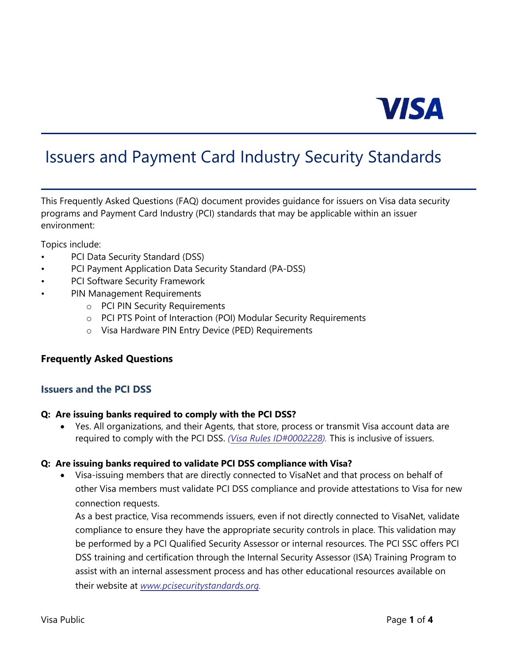

# Issuers and Payment Card Industry Security Standards

This Frequently Asked Questions (FAQ) document provides guidance for issuers on Visa data security programs and Payment Card Industry (PCI) standards that may be applicable within an issuer environment:

Topics include:

- PCI Data Security Standard (DSS)
- PCI Payment Application Data Security Standard (PA-DSS)
- PCI Software Security Framework
- PIN Management Requirements
	- o PCI PIN Security Requirements
	- o PCI PTS Point of Interaction (POI) Modular Security Requirements
	- o Visa Hardware PIN Entry Device (PED) Requirements

#### **Frequently Asked Questions**

#### **Issuers and the PCI DSS**

#### **Q: Are issuing banks required to comply with the PCI DSS?**

• Yes. All organizations, and their Agents, that store, process or transmit Visa account data are required to comply with the PCI DSS. *[\(Visa Rules ID#0002228\)](https://usa.visa.com/support/consumer/visa-rules.html).* This is inclusive of issuers.

#### **Q: Are issuing banks required to validate PCI DSS compliance with Visa?**

• Visa-issuing members that are directly connected to VisaNet and that process on behalf of other Visa members must validate PCI DSS compliance and provide attestations to Visa for new connection requests.

As a best practice, Visa recommends issuers, even if not directly connected to VisaNet, validate compliance to ensure they have the appropriate security controls in place. This validation may be performed by a PCI Qualified Security Assessor or internal resources. The PCI SSC offers PCI DSS training and certification through the Internal Security Assessor (ISA) Training Program to assist with an internal assessment process and has other educational resources available on their website at *[www.pcisecuritystandards.org.](https://www.pcisecuritystandards.org/)*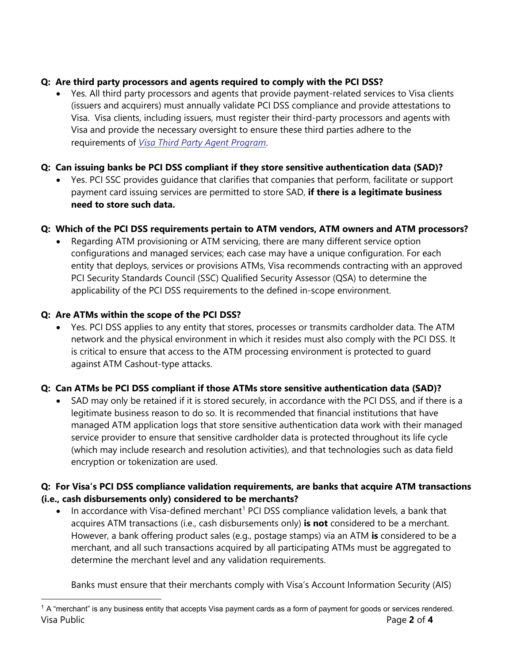# **Q: Are third party processors and agents required to comply with the PCI DSS?**

• Yes. All third party processors and agents that provide payment-related services to Visa clients (issuers and acquirers) must annually validate PCI DSS compliance and provide attestations to Visa. Visa clients, including issuers, must register their third-party processors and agents with Visa and provide the necessary oversight to ensure these third parties adhere to the requirements of *[Visa Third Party Agent Program](https://usa.visa.com/partner-with-us/info-for-partners/info-for-service-providers.html)*.

# **Q: Can issuing banks be PCI DSS compliant if they store sensitive authentication data (SAD)?**

• Yes. PCI SSC provides guidance that clarifies that companies that perform, facilitate or support payment card issuing services are permitted to store SAD, **if there is a legitimate business need to store such data.**

# **Q: Which of the PCI DSS requirements pertain to ATM vendors, ATM owners and ATM processors?**

• Regarding ATM provisioning or ATM servicing, there are many different service option configurations and managed services; each case may have a unique configuration. For each entity that deploys, services or provisions ATMs, Visa recommends contracting with an approved PCI Security Standards Council (SSC) Qualified Security Assessor (QSA) to determine the applicability of the PCI DSS requirements to the defined in-scope environment.

# **Q: Are ATMs within the scope of the PCI DSS?**

• Yes. PCI DSS applies to any entity that stores, processes or transmits cardholder data. The ATM network and the physical environment in which it resides must also comply with the PCI DSS. It is critical to ensure that access to the ATM processing environment is protected to guard against ATM Cashout-type attacks.

# **Q: Can ATMs be PCI DSS compliant if those ATMs store sensitive authentication data (SAD)?**

• SAD may only be retained if it is stored securely, in accordance with the PCI DSS, and if there is a legitimate business reason to do so. It is recommended that financial institutions that have managed ATM application logs that store sensitive authentication data work with their managed service provider to ensure that sensitive cardholder data is protected throughout its life cycle (which may include research and resolution activities), and that technologies such as data field encryption or tokenization are used.

## **Q: For Visa's PCI DSS compliance validation requirements, are banks that acquire ATM transactions (i.e., cash disbursements only) considered to be merchants?**

• In accordance with Visa-defined merchant<sup>[1](#page-1-0)</sup> PCI DSS compliance validation levels, a bank that acquires ATM transactions (i.e., cash disbursements only) **is not** considered to be a merchant. However, a bank offering product sales (e.g., postage stamps) via an ATM **is** considered to be a merchant, and all such transactions acquired by all participating ATMs must be aggregated to determine the merchant level and any validation requirements.

Banks must ensure that their merchants comply with Visa's Account Information Security (AIS)

<span id="page-1-0"></span>Visa Public Page **2** of **4**  $1$  A "merchant" is any business entity that accepts Visa payment cards as a form of payment for goods or services rendered.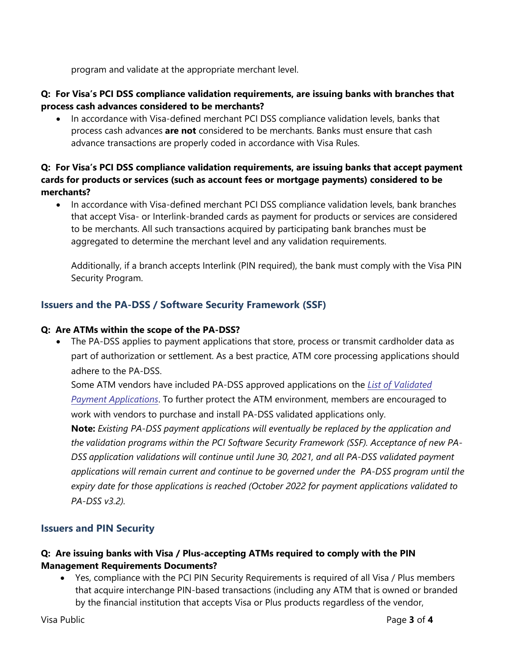program and validate at the appropriate merchant level.

#### **Q: For Visa's PCI DSS compliance validation requirements, are issuing banks with branches that process cash advances considered to be merchants?**

• In accordance with Visa-defined merchant PCI DSS compliance validation levels, banks that process cash advances **are not** considered to be merchants. Banks must ensure that cash advance transactions are properly coded in accordance with Visa Rules.

#### **Q: For Visa's PCI DSS compliance validation requirements, are issuing banks that accept payment cards for products or services (such as account fees or mortgage payments) considered to be merchants?**

• In accordance with Visa-defined merchant PCI DSS compliance validation levels, bank branches that accept Visa- or Interlink-branded cards as payment for products or services are considered to be merchants. All such transactions acquired by participating bank branches must be aggregated to determine the merchant level and any validation requirements.

Additionally, if a branch accepts Interlink (PIN required), the bank must comply with the Visa PIN Security Program.

## **Issuers and the PA-DSS / Software Security Framework (SSF)**

#### **Q: Are ATMs within the scope of the PA-DSS?**

• The PA-DSS applies to payment applications that store, process or transmit cardholder data as part of authorization or settlement. As a best practice, ATM core processing applications should adhere to the PA-DSS.

Some ATM vendors have included PA-DSS approved applications on the *[List of Validated](https://www.pcisecuritystandards.org/approved_companies_providers/vpa_agreement.php) [Payment Applications](https://www.pcisecuritystandards.org/approved_companies_providers/vpa_agreement.php)*. To further protect the ATM environment, members are encouraged to work with vendors to purchase and install PA-DSS validated applications only.

**Note:** *Existing PA-DSS payment applications will eventually be replaced by the application and the validation programs within the PCI Software Security Framework (SSF). Acceptance of new PA-DSS application validations will continue until June 30, 2021, and all PA-DSS validated payment applications will remain current and continue to be governed under the PA-DSS program until the expiry date for those applications is reached (October 2022 for payment applications validated to PA-DSS v3.2).*

## **Issuers and PIN Security**

## **Q: Are issuing banks with Visa / Plus-accepting ATMs required to comply with the PIN Management Requirements Documents?**

• Yes, compliance with the PCI PIN Security Requirements is required of all Visa / Plus members that acquire interchange PIN-based transactions (including any ATM that is owned or branded by the financial institution that accepts Visa or Plus products regardless of the vendor,